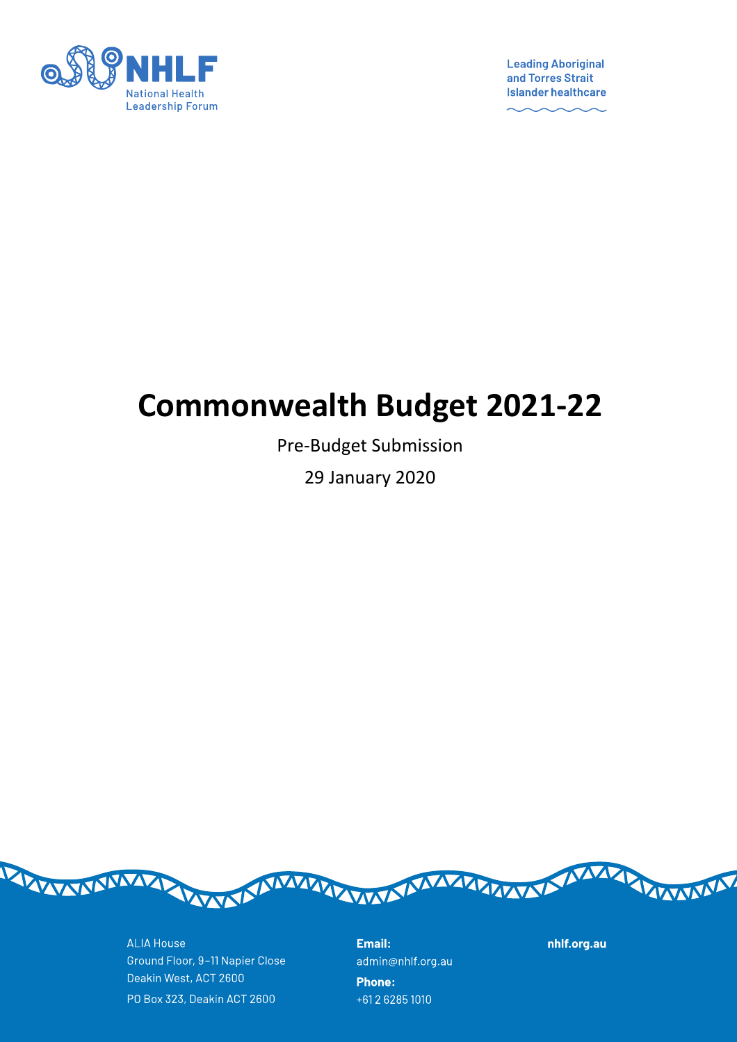

**Leading Aboriginal** and Torres Strait **Islander healthcare** 

# **Commonwealth Budget 2021-22**

Pre-Budget Submission

29 January 2020



**ALIA House** Ground Floor, 9-11 Napier Close Deakin West, ACT 2600 PO Box 323, Deakin ACT 2600

Email: admin@nhlf.org.au **Phone:** +61 2 6285 1010

nhlf.org.au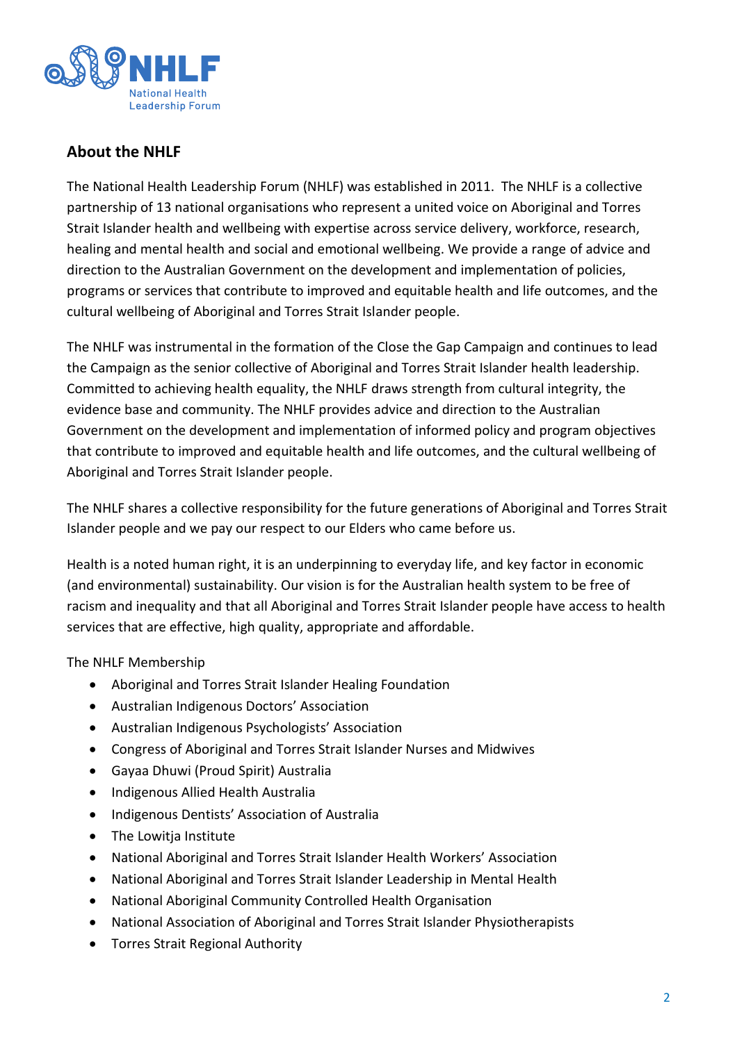

## **About the NHLF**

The National Health Leadership Forum (NHLF) was established in 2011. The NHLF is a collective partnership of 13 national organisations who represent a united voice on Aboriginal and Torres Strait Islander health and wellbeing with expertise across service delivery, workforce, research, healing and mental health and social and emotional wellbeing. We provide a range of advice and direction to the Australian Government on the development and implementation of policies, programs or services that contribute to improved and equitable health and life outcomes, and the cultural wellbeing of Aboriginal and Torres Strait Islander people.

The NHLF was instrumental in the formation of the Close the Gap Campaign and continues to lead the Campaign as the senior collective of Aboriginal and Torres Strait Islander health leadership. Committed to achieving health equality, the NHLF draws strength from cultural integrity, the evidence base and community. The NHLF provides advice and direction to the Australian Government on the development and implementation of informed policy and program objectives that contribute to improved and equitable health and life outcomes, and the cultural wellbeing of Aboriginal and Torres Strait Islander people.

The NHLF shares a collective responsibility for the future generations of Aboriginal and Torres Strait Islander people and we pay our respect to our Elders who came before us.

Health is a noted human right, it is an underpinning to everyday life, and key factor in economic (and environmental) sustainability. Our vision is for the Australian health system to be free of racism and inequality and that all Aboriginal and Torres Strait Islander people have access to health services that are effective, high quality, appropriate and affordable.

The NHLF Membership

- Aboriginal and Torres Strait Islander Healing Foundation
- Australian Indigenous Doctors' Association
- Australian Indigenous Psychologists' Association
- Congress of Aboriginal and Torres Strait Islander Nurses and Midwives
- Gayaa Dhuwi (Proud Spirit) Australia
- Indigenous Allied Health Australia
- Indigenous Dentists' Association of Australia
- The Lowitja Institute
- National Aboriginal and Torres Strait Islander Health Workers' Association
- National Aboriginal and Torres Strait Islander Leadership in Mental Health
- National Aboriginal Community Controlled Health Organisation
- National Association of Aboriginal and Torres Strait Islander Physiotherapists
- Torres Strait Regional Authority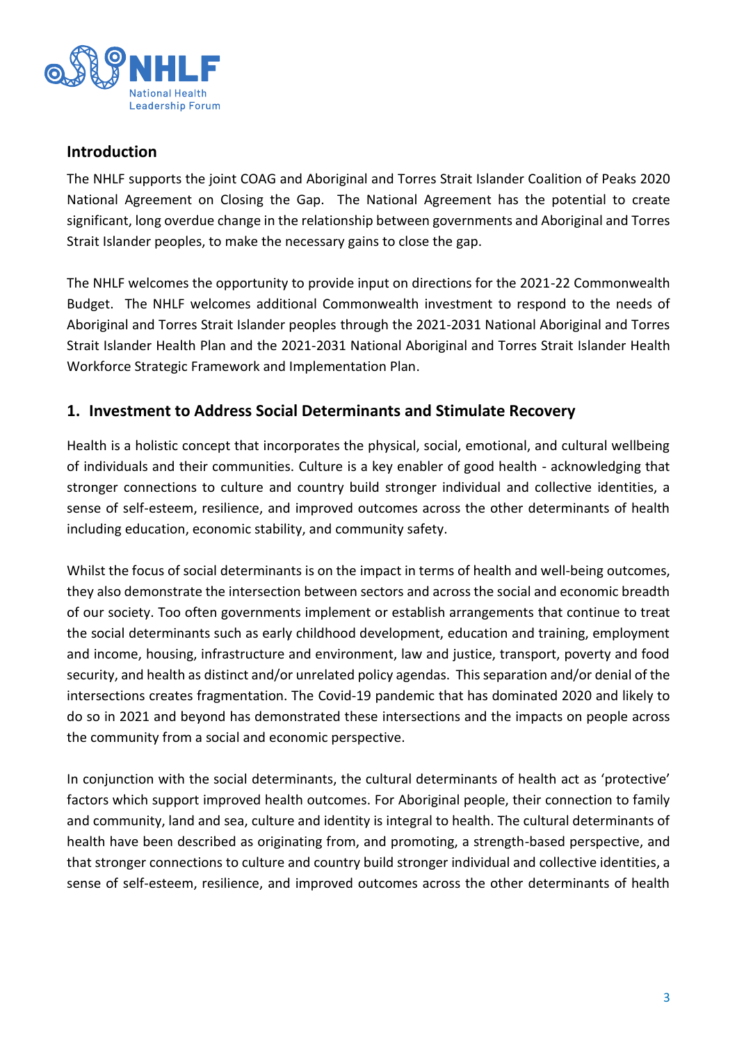

#### **Introduction**

The NHLF supports the joint COAG and Aboriginal and Torres Strait Islander Coalition of Peaks 2020 National Agreement on Closing the Gap. The National Agreement has the potential to create significant, long overdue change in the relationship between governments and Aboriginal and Torres Strait Islander peoples, to make the necessary gains to close the gap.

The NHLF welcomes the opportunity to provide input on directions for the 2021-22 Commonwealth Budget. The NHLF welcomes additional Commonwealth investment to respond to the needs of Aboriginal and Torres Strait Islander peoples through the 2021-2031 National Aboriginal and Torres Strait Islander Health Plan and the 2021-2031 National Aboriginal and Torres Strait Islander Health Workforce Strategic Framework and Implementation Plan.

### **1. Investment to Address Social Determinants and Stimulate Recovery**

Health is a holistic concept that incorporates the physical, social, emotional, and cultural wellbeing of individuals and their communities. Culture is a key enabler of good health - acknowledging that stronger connections to culture and country build stronger individual and collective identities, a sense of self-esteem, resilience, and improved outcomes across the other determinants of health including education, economic stability, and community safety.

Whilst the focus of social determinants is on the impact in terms of health and well-being outcomes, they also demonstrate the intersection between sectors and across the social and economic breadth of our society. Too often governments implement or establish arrangements that continue to treat the social determinants such as early childhood development, education and training, employment and income, housing, infrastructure and environment, law and justice, transport, poverty and food security, and health as distinct and/or unrelated policy agendas. This separation and/or denial of the intersections creates fragmentation. The Covid-19 pandemic that has dominated 2020 and likely to do so in 2021 and beyond has demonstrated these intersections and the impacts on people across the community from a social and economic perspective.

In conjunction with the social determinants, the cultural determinants of health act as 'protective' factors which support improved health outcomes. For Aboriginal people, their connection to family and community, land and sea, culture and identity is integral to health. The cultural determinants of health have been described as originating from, and promoting, a strength-based perspective, and that stronger connections to culture and country build stronger individual and collective identities, a sense of self-esteem, resilience, and improved outcomes across the other determinants of health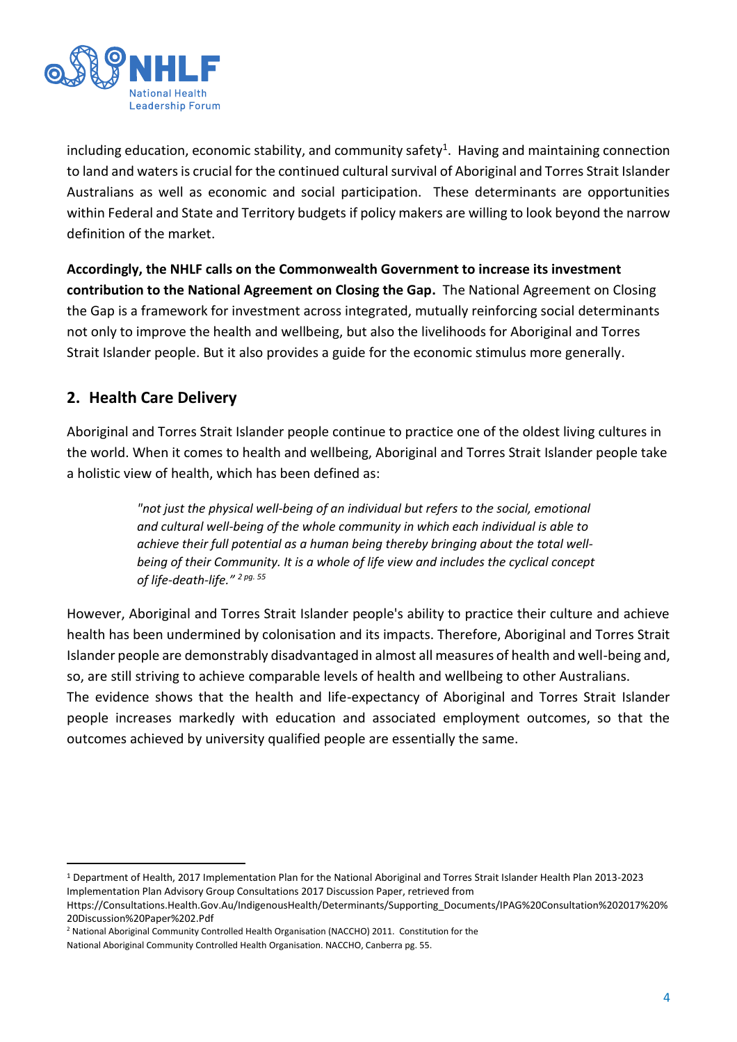

including education, economic stability, and community safety<sup>1</sup>. Having and maintaining connection to land and waters is crucial for the continued cultural survival of Aboriginal and Torres Strait Islander Australians as well as economic and social participation. These determinants are opportunities within Federal and State and Territory budgets if policy makers are willing to look beyond the narrow definition of the market.

**Accordingly, the NHLF calls on the Commonwealth Government to increase its investment contribution to the National Agreement on Closing the Gap.** The National Agreement on Closing the Gap is a framework for investment across integrated, mutually reinforcing social determinants not only to improve the health and wellbeing, but also the livelihoods for Aboriginal and Torres Strait Islander people. But it also provides a guide for the economic stimulus more generally.

# **2. Health Care Delivery**

Aboriginal and Torres Strait Islander people continue to practice one of the oldest living cultures in the world. When it comes to health and wellbeing, Aboriginal and Torres Strait Islander people take a holistic view of health, which has been defined as:

> *"not just the physical well-being of an individual but refers to the social, emotional and cultural well-being of the whole community in which each individual is able to achieve their full potential as a human being thereby bringing about the total wellbeing of their Community. It is a whole of life view and includes the cyclical concept of life-death-life." <sup>2</sup> pg. 55*

However, Aboriginal and Torres Strait Islander people's ability to practice their culture and achieve health has been undermined by colonisation and its impacts. Therefore, Aboriginal and Torres Strait Islander people are demonstrably disadvantaged in almost all measures of health and well-being and, so, are still striving to achieve comparable levels of health and wellbeing to other Australians. The evidence shows that the health and life-expectancy of Aboriginal and Torres Strait Islander people increases markedly with education and associated employment outcomes, so that the outcomes achieved by university qualified people are essentially the same.

<sup>1</sup> Department of Health, 2017 Implementation Plan for the National Aboriginal and Torres Strait Islander Health Plan 2013-2023 Implementation Plan Advisory Group Consultations 2017 Discussion Paper, retrieved from

Https://Consultations.Health.Gov.Au/IndigenousHealth/Determinants/Supporting\_Documents/IPAG%20Consultation%202017%20% 20Discussion%20Paper%202.Pdf

<sup>&</sup>lt;sup>2</sup> National Aboriginal Community Controlled Health Organisation (NACCHO) 2011. Constitution for the

National Aboriginal Community Controlled Health Organisation. NACCHO, Canberra pg. 55.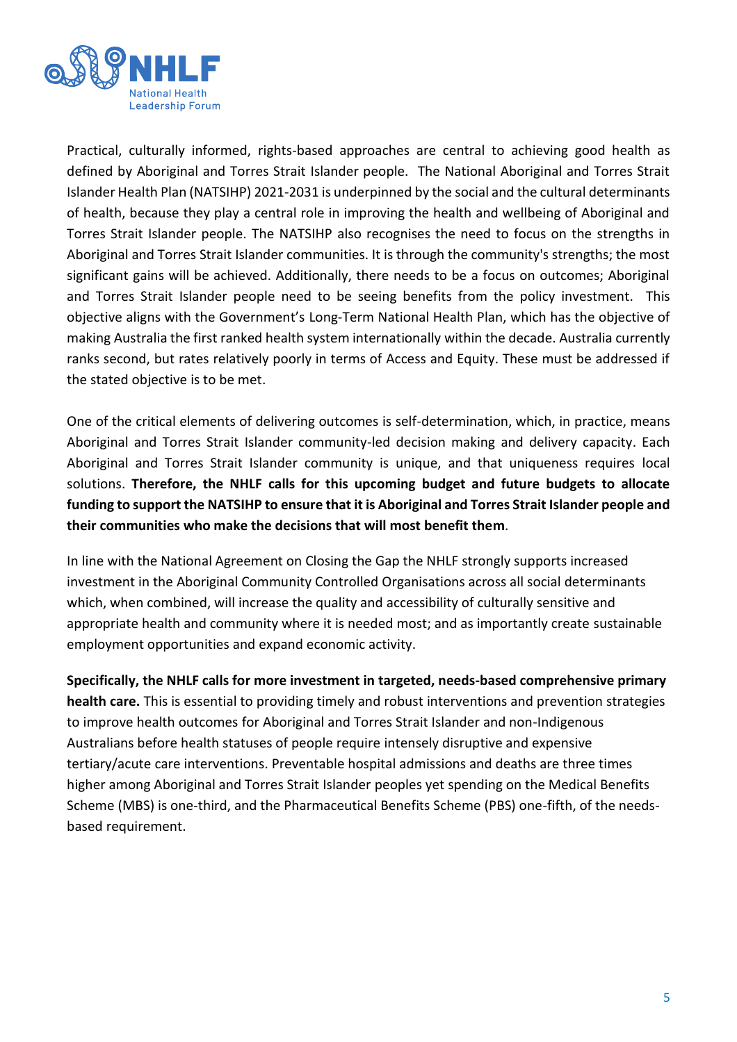

Practical, culturally informed, rights-based approaches are central to achieving good health as defined by Aboriginal and Torres Strait Islander people. The National Aboriginal and Torres Strait Islander Health Plan (NATSIHP) 2021-2031 is underpinned by the social and the cultural determinants of health, because they play a central role in improving the health and wellbeing of Aboriginal and Torres Strait Islander people. The NATSIHP also recognises the need to focus on the strengths in Aboriginal and Torres Strait Islander communities. It is through the community's strengths; the most significant gains will be achieved. Additionally, there needs to be a focus on outcomes; Aboriginal and Torres Strait Islander people need to be seeing benefits from the policy investment. This objective aligns with the Government's Long-Term National Health Plan, which has the objective of making Australia the first ranked health system internationally within the decade. Australia currently ranks second, but rates relatively poorly in terms of Access and Equity. These must be addressed if the stated objective is to be met.

One of the critical elements of delivering outcomes is self-determination, which, in practice, means Aboriginal and Torres Strait Islander community-led decision making and delivery capacity. Each Aboriginal and Torres Strait Islander community is unique, and that uniqueness requires local solutions. **Therefore, the NHLF calls for this upcoming budget and future budgets to allocate funding to support the NATSIHP to ensure that it is Aboriginal and Torres Strait Islander people and their communities who make the decisions that will most benefit them**.

In line with the National Agreement on Closing the Gap the NHLF strongly supports increased investment in the Aboriginal Community Controlled Organisations across all social determinants which, when combined, will increase the quality and accessibility of culturally sensitive and appropriate health and community where it is needed most; and as importantly create sustainable employment opportunities and expand economic activity.

**Specifically, the NHLF calls for more investment in targeted, needs-based comprehensive primary health care.** This is essential to providing timely and robust interventions and prevention strategies to improve health outcomes for Aboriginal and Torres Strait Islander and non-Indigenous Australians before health statuses of people require intensely disruptive and expensive tertiary/acute care interventions. Preventable hospital admissions and deaths are three times higher among Aboriginal and Torres Strait Islander peoples yet spending on the Medical Benefits Scheme (MBS) is one-third, and the Pharmaceutical Benefits Scheme (PBS) one-fifth, of the needsbased requirement.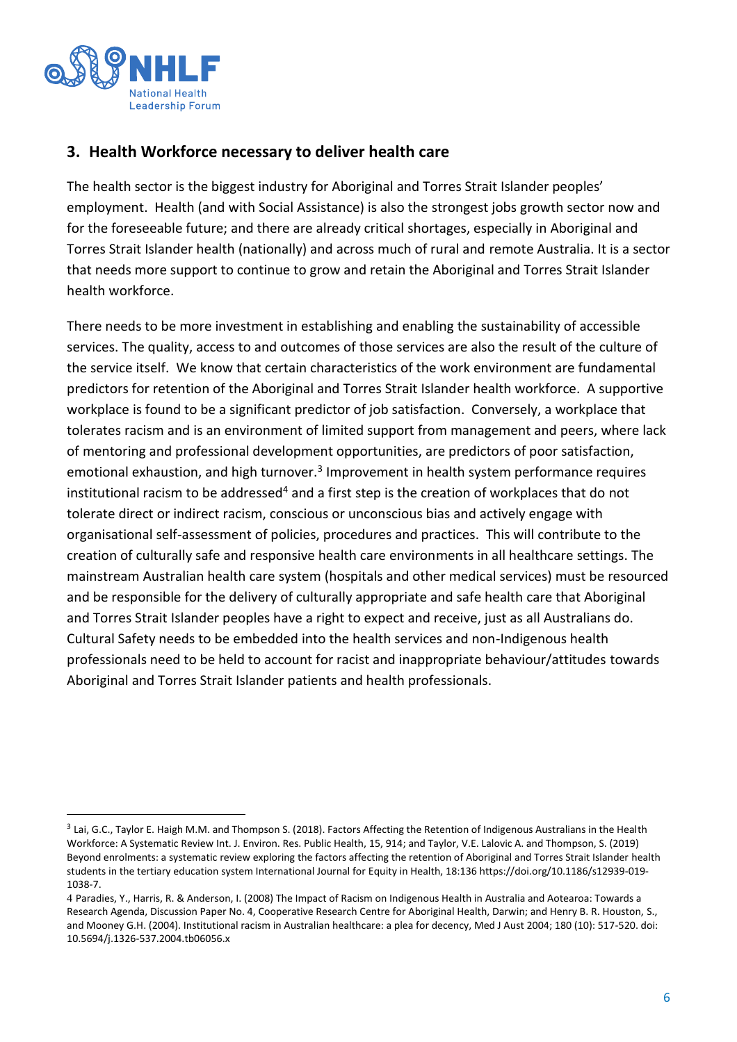

## **3. Health Workforce necessary to deliver health care**

The health sector is the biggest industry for Aboriginal and Torres Strait Islander peoples' employment. Health (and with Social Assistance) is also the strongest jobs growth sector now and for the foreseeable future; and there are already critical shortages, especially in Aboriginal and Torres Strait Islander health (nationally) and across much of rural and remote Australia. It is a sector that needs more support to continue to grow and retain the Aboriginal and Torres Strait Islander health workforce.

There needs to be more investment in establishing and enabling the sustainability of accessible services. The quality, access to and outcomes of those services are also the result of the culture of the service itself. We know that certain characteristics of the work environment are fundamental predictors for retention of the Aboriginal and Torres Strait Islander health workforce. A supportive workplace is found to be a significant predictor of job satisfaction. Conversely, a workplace that tolerates racism and is an environment of limited support from management and peers, where lack of mentoring and professional development opportunities, are predictors of poor satisfaction, emotional exhaustion, and high turnover.<sup>3</sup> Improvement in health system performance requires institutional racism to be addressed<sup>4</sup> and a first step is the creation of workplaces that do not tolerate direct or indirect racism, conscious or unconscious bias and actively engage with organisational self-assessment of policies, procedures and practices. This will contribute to the creation of culturally safe and responsive health care environments in all healthcare settings. The mainstream Australian health care system (hospitals and other medical services) must be resourced and be responsible for the delivery of culturally appropriate and safe health care that Aboriginal and Torres Strait Islander peoples have a right to expect and receive, just as all Australians do. Cultural Safety needs to be embedded into the health services and non-Indigenous health professionals need to be held to account for racist and inappropriate behaviour/attitudes towards Aboriginal and Torres Strait Islander patients and health professionals.

 $^3$  Lai, G.C., Taylor E. Haigh M.M. and Thompson S. (2018). Factors Affecting the Retention of Indigenous Australians in the Health Workforce: A Systematic Review Int. J. Environ. Res. Public Health, 15, 914; and Taylor, V.E. Lalovic A. and Thompson, S. (2019) Beyond enrolments: a systematic review exploring the factors affecting the retention of Aboriginal and Torres Strait Islander health students in the tertiary education system International Journal for Equity in Health, 18:13[6 https://doi.org/10.1186/s12939-019-](https://doi.org/10.1186/s12939-019-1038-7) [1038-7.](https://doi.org/10.1186/s12939-019-1038-7)

<sup>4</sup> Paradies, Y., Harris, R. & Anderson, I. (2008) The Impact of Racism on Indigenous Health in Australia and Aotearoa: Towards a Research Agenda, Discussion Paper No. 4, Cooperative Research Centre for Aboriginal Health, Darwin; and Henry B. R. Houston, S., and Mooney G.H. (2004). Institutional racism in Australian healthcare: a plea for decency, Med J Aust 2004; 180 (10): 517-520. doi: 10.5694/j.1326-537.2004.tb06056.x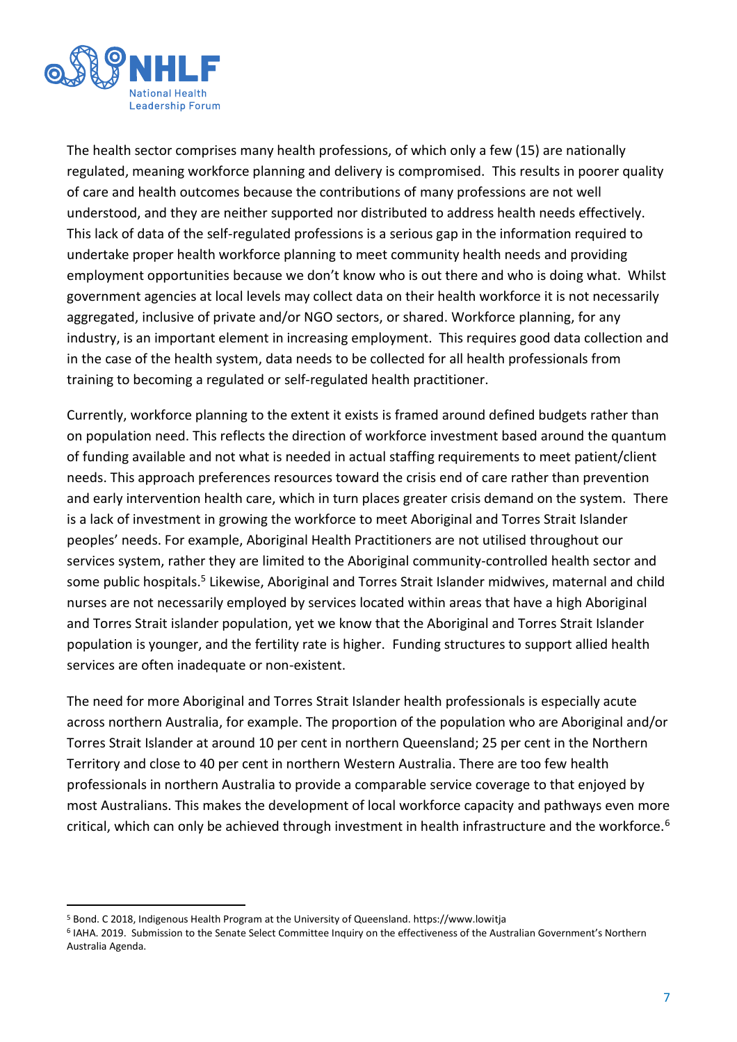

The health sector comprises many health professions, of which only a few (15) are nationally regulated, meaning workforce planning and delivery is compromised. This results in poorer quality of care and health outcomes because the contributions of many professions are not well understood, and they are neither supported nor distributed to address health needs effectively. This lack of data of the self-regulated professions is a serious gap in the information required to undertake proper health workforce planning to meet community health needs and providing employment opportunities because we don't know who is out there and who is doing what. Whilst government agencies at local levels may collect data on their health workforce it is not necessarily aggregated, inclusive of private and/or NGO sectors, or shared. Workforce planning, for any industry, is an important element in increasing employment. This requires good data collection and in the case of the health system, data needs to be collected for all health professionals from training to becoming a regulated or self-regulated health practitioner.

Currently, workforce planning to the extent it exists is framed around defined budgets rather than on population need. This reflects the direction of workforce investment based around the quantum of funding available and not what is needed in actual staffing requirements to meet patient/client needs. This approach preferences resources toward the crisis end of care rather than prevention and early intervention health care, which in turn places greater crisis demand on the system. There is a lack of investment in growing the workforce to meet Aboriginal and Torres Strait Islander peoples' needs. For example, Aboriginal Health Practitioners are not utilised throughout our services system, rather they are limited to the Aboriginal community-controlled health sector and some public hospitals.<sup>5</sup> Likewise, Aboriginal and Torres Strait Islander midwives, maternal and child nurses are not necessarily employed by services located within areas that have a high Aboriginal and Torres Strait islander population, yet we know that the Aboriginal and Torres Strait Islander population is younger, and the fertility rate is higher. Funding structures to support allied health services are often inadequate or non-existent.

The need for more Aboriginal and Torres Strait Islander health professionals is especially acute across northern Australia, for example. The proportion of the population who are Aboriginal and/or Torres Strait Islander at around 10 per cent in northern Queensland; 25 per cent in the Northern Territory and close to 40 per cent in northern Western Australia. There are too few health professionals in northern Australia to provide a comparable service coverage to that enjoyed by most Australians. This makes the development of local workforce capacity and pathways even more critical, which can only be achieved through investment in health infrastructure and the workforce.<sup>6</sup>

<sup>5</sup> Bond. C 2018, Indigenous Health Program at the University of Queensland. https://www.lowitja

<sup>6</sup> IAHA. 2019. Submission to the Senate Select Committee Inquiry on the effectiveness of the Australian Government's Northern Australia Agenda.